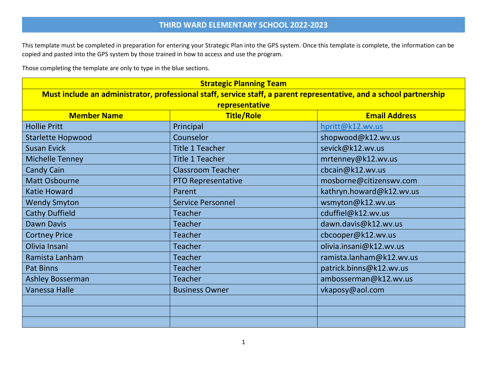This template must be completed in preparation for entering your Strategic Plan into the GPS system. Once this template is complete, the information can be copied and pasted into the GPS system by those trained in how to access and use the program.

Those completing the template are only to type in the blue sections.

| <b>Strategic Planning Team</b>                                                                                      |                           |                          |  |  |  |  |
|---------------------------------------------------------------------------------------------------------------------|---------------------------|--------------------------|--|--|--|--|
| Must include an administrator, professional staff, service staff, a parent representative, and a school partnership |                           |                          |  |  |  |  |
|                                                                                                                     | representative            |                          |  |  |  |  |
| <b>Member Name</b>                                                                                                  | <b>Email Address</b>      |                          |  |  |  |  |
| <b>Hollie Pritt</b>                                                                                                 | Principal                 | hpritt@k12.wv.us         |  |  |  |  |
| <b>Starlette Hopwood</b>                                                                                            | Counselor                 | shopwood@k12.wv.us       |  |  |  |  |
| <b>Susan Evick</b>                                                                                                  | <b>Title 1 Teacher</b>    | sevick@k12.wv.us         |  |  |  |  |
| <b>Michelle Tenney</b>                                                                                              | <b>Title 1 Teacher</b>    | mrtenney@k12.wv.us       |  |  |  |  |
| <b>Candy Cain</b>                                                                                                   | <b>Classroom Teacher</b>  | cbcain@k12.wv.us         |  |  |  |  |
| <b>Matt Osbourne</b>                                                                                                | <b>PTO Representative</b> | mosborne@citizenswv.com  |  |  |  |  |
| <b>Katie Howard</b>                                                                                                 | Parent                    | kathryn.howard@k12.wv.us |  |  |  |  |
| <b>Wendy Smyton</b>                                                                                                 | <b>Service Personnel</b>  | wsmyton@k12.wv.us        |  |  |  |  |
| <b>Cathy Duffield</b>                                                                                               | <b>Teacher</b>            | cduffiel@k12.wv.us       |  |  |  |  |
| <b>Dawn Davis</b>                                                                                                   | <b>Teacher</b>            | dawn.davis@k12.wv.us     |  |  |  |  |
| <b>Cortney Price</b>                                                                                                | <b>Teacher</b>            | cbcooper@k12.wv.us       |  |  |  |  |
| Olivia Insani                                                                                                       | <b>Teacher</b>            | olivia.insani@k12.wv.us  |  |  |  |  |
| Ramista Lanham                                                                                                      | <b>Teacher</b>            | ramista.lanham@k12.wv.us |  |  |  |  |
| <b>Pat Binns</b>                                                                                                    | <b>Teacher</b>            | patrick.binns@k12.wv.us  |  |  |  |  |
| <b>Ashley Bosserman</b>                                                                                             | <b>Teacher</b>            | ambosserman@k12.wv.us    |  |  |  |  |
| <b>Vanessa Halle</b>                                                                                                | <b>Business Owner</b>     | vkaposy@aol.com          |  |  |  |  |
|                                                                                                                     |                           |                          |  |  |  |  |
|                                                                                                                     |                           |                          |  |  |  |  |
|                                                                                                                     |                           |                          |  |  |  |  |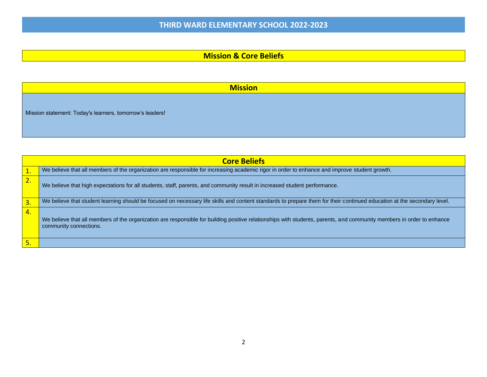### **Mission & Core Beliefs**

**Mission**

Mission statement: Today's learners, tomorrow's leaders!

|          | <b>Core Beliefs</b>                                                                                                                                                                             |
|----------|-------------------------------------------------------------------------------------------------------------------------------------------------------------------------------------------------|
|          |                                                                                                                                                                                                 |
| 1.       | We believe that all members of the organization are responsible for increasing academic rigor in order to enhance and improve student growth.                                                   |
| ∍.<br>2. | We believe that high expectations for all students, staff, parents, and community result in increased student performance.                                                                      |
| 3.       | We believe that student learning should be focused on necessary life skills and content standards to prepare them for their continued education at the secondary level.                         |
| 4.       | We believe that all members of the organization are responsible for building positive relationships with students, parents, and community members in order to enhance<br>community connections. |
|          |                                                                                                                                                                                                 |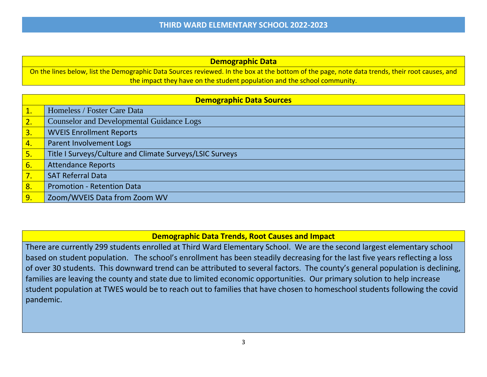| <b>Demographic Data</b>                                                                                                                        |
|------------------------------------------------------------------------------------------------------------------------------------------------|
| On the lines below, list the Demographic Data Sources reviewed. In the box at the bottom of the page, note data trends, their root causes, and |
| the impact they have on the student population and the school community.                                                                       |

|                  | <b>Demographic Data Sources</b>                          |  |
|------------------|----------------------------------------------------------|--|
| 1.               | Homeless / Foster Care Data                              |  |
| 2.               | <b>Counselor and Developmental Guidance Logs</b>         |  |
| $\overline{3.}$  | <b>WVEIS Enrollment Reports</b>                          |  |
| 4.               | Parent Involvement Logs                                  |  |
| 5.               | Title I Surveys/Culture and Climate Surveys/LSIC Surveys |  |
| 6.               | <b>Attendance Reports</b>                                |  |
| 7.               | <b>SAT Referral Data</b>                                 |  |
| 8.               | <b>Promotion - Retention Data</b>                        |  |
| $\overline{9}$ . | Zoom/WVEIS Data from Zoom WV                             |  |

### **Demographic Data Trends, Root Causes and Impact**

There are currently 299 students enrolled at Third Ward Elementary School. We are the second largest elementary school based on student population. The school's enrollment has been steadily decreasing for the last five years reflecting a loss of over 30 students. This downward trend can be attributed to several factors. The county's general population is declining, families are leaving the county and state due to limited economic opportunities. Our primary solution to help increase student population at TWES would be to reach out to families that have chosen to homeschool students following the covid pandemic.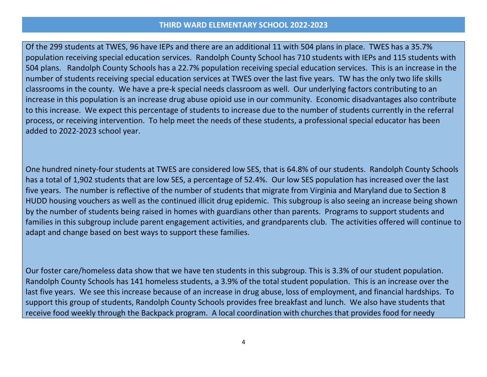Of the 299 students at TWES, 96 have IEPs and there are an additional 11 with 504 plans in place. TWES has a 35.7% population receiving special education services. Randolph County School has 710 students with IEPs and 115 students with 504 plans. Randolph County Schools has a 22.7% population receiving special education services. This is an increase in the number of students receiving special education services at TWES over the last five years. TW has the only two life skills classrooms in the county. We have a pre-k special needs classroom as well. Our underlying factors contributing to an increase in this population is an increase drug abuse opioid use in our community. Economic disadvantages also contribute to this increase. We expect this percentage of students to increase due to the number of students currently in the referral process, or receiving intervention. To help meet the needs of these students, a professional special educator has been added to 2022-2023 school year.

One hundred ninety-four students at TWES are considered low SES, that is 64.8% of our students. Randolph County Schools has a total of 1,902 students that are low SES, a percentage of 52.4%. Our low SES population has increased over the last five years. The number is reflective of the number of students that migrate from Virginia and Maryland due to Section 8 HUDD housing vouchers as well as the continued illicit drug epidemic. This subgroup is also seeing an increase being shown by the number of students being raised in homes with guardians other than parents. Programs to support students and families in this subgroup include parent engagement activities, and grandparents club. The activities offered will continue to adapt and change based on best ways to support these families.

Our foster care/homeless data show that we have ten students in this subgroup. This is 3.3% of our student population. Randolph County Schools has 141 homeless students, a 3.9% of the total student population. This is an increase over the last five years. We see this increase because of an increase in drug abuse, loss of employment, and financial hardships. To support this group of students, Randolph County Schools provides free breakfast and lunch. We also have students that receive food weekly through the Backpack program. A local coordination with churches that provides food for needy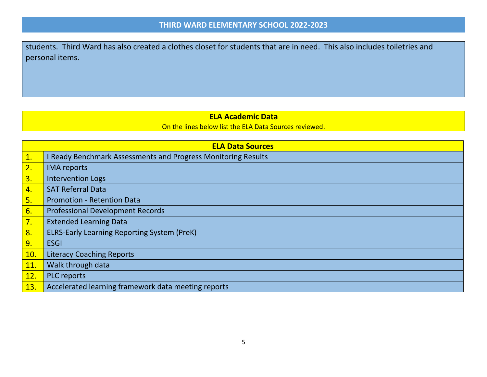students. Third Ward has also created a clothes closet for students that are in need. This also includes toiletries and personal items.

### **ELA Academic Data**

On the lines below list the ELA Data Sources reviewed.

|                  | <b>ELA Data Sources</b>                                     |
|------------------|-------------------------------------------------------------|
| $\overline{1}$ . | Ready Benchmark Assessments and Progress Monitoring Results |
| $\overline{2}$ . | <b>IMA</b> reports                                          |
| 3.               | <b>Intervention Logs</b>                                    |
| 4.               | <b>SAT Referral Data</b>                                    |
| 5.               | <b>Promotion - Retention Data</b>                           |
| 6.               | <b>Professional Development Records</b>                     |
| <u>7.</u>        | <b>Extended Learning Data</b>                               |
| 8.               | <b>ELRS-Early Learning Reporting System (PreK)</b>          |
| 9.               | <b>ESGI</b>                                                 |
| 10.              | <b>Literacy Coaching Reports</b>                            |
| 11.              | Walk through data                                           |
| 12.              | <b>PLC</b> reports                                          |
| 13.              | Accelerated learning framework data meeting reports         |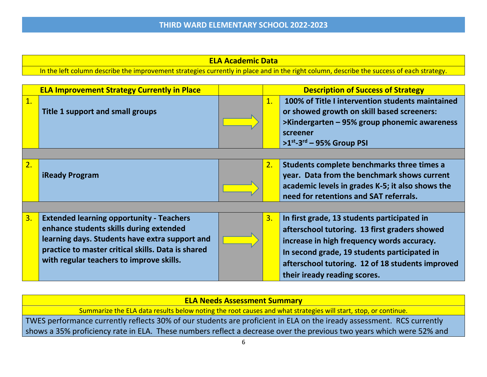**ELA Academic Data**

In the left column describe the improvement strategies currently in place and in the right column, describe the success of each strategy.

|    | <b>ELA Improvement Strategy Currently in Place</b>                                                                                                                                                                                             |                | <b>Description of Success of Strategy</b>                                                                                                                                                                                                                                      |
|----|------------------------------------------------------------------------------------------------------------------------------------------------------------------------------------------------------------------------------------------------|----------------|--------------------------------------------------------------------------------------------------------------------------------------------------------------------------------------------------------------------------------------------------------------------------------|
| 1. | <b>Title 1 support and small groups</b>                                                                                                                                                                                                        | $\mathbf{1}$ . | 100% of Title I intervention students maintained<br>or showed growth on skill based screeners:<br>>Kindergarten – 95% group phonemic awareness<br>screener<br>$>1^{st}$ -3 <sup>rd</sup> - 95% Group PSI                                                                       |
|    |                                                                                                                                                                                                                                                |                |                                                                                                                                                                                                                                                                                |
| 2. | <b>iReady Program</b>                                                                                                                                                                                                                          | 2.             | Students complete benchmarks three times a<br>year. Data from the benchmark shows current<br>academic levels in grades K-5; it also shows the<br>need for retentions and SAT referrals.                                                                                        |
|    |                                                                                                                                                                                                                                                |                |                                                                                                                                                                                                                                                                                |
| 3. | <b>Extended learning opportunity - Teachers</b><br>enhance students skills during extended<br>learning days. Students have extra support and<br>practice to master critical skills. Data is shared<br>with regular teachers to improve skills. | 3.             | In first grade, 13 students participated in<br>afterschool tutoring. 13 first graders showed<br>increase in high frequency words accuracy.<br>In second grade, 19 students participated in<br>afterschool tutoring. 12 of 18 students improved<br>their iready reading scores. |

### **ELA Needs Assessment Summary**

Summarize the ELA data results below noting the root causes and what strategies will start, stop, or continue.

TWES performance currently reflects 30% of our students are proficient in ELA on the iready assessment. RCS currently shows a 35% proficiency rate in ELA. These numbers reflect a decrease over the previous two years which were 52% and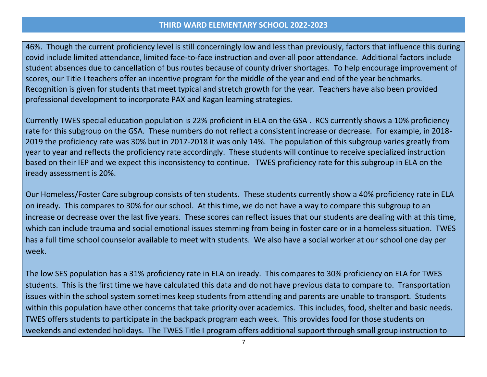46%. Though the current proficiency level is still concerningly low and less than previously, factors that influence this during covid include limited attendance, limited face-to-face instruction and over-all poor attendance. Additional factors include student absences due to cancellation of bus routes because of county driver shortages. To help encourage improvement of scores, our Title I teachers offer an incentive program for the middle of the year and end of the year benchmarks. Recognition is given for students that meet typical and stretch growth for the year. Teachers have also been provided professional development to incorporate PAX and Kagan learning strategies.

Currently TWES special education population is 22% proficient in ELA on the GSA . RCS currently shows a 10% proficiency rate for this subgroup on the GSA. These numbers do not reflect a consistent increase or decrease. For example, in 2018- 2019 the proficiency rate was 30% but in 2017-2018 it was only 14%. The population of this subgroup varies greatly from year to year and reflects the proficiency rate accordingly. These students will continue to receive specialized instruction based on their IEP and we expect this inconsistency to continue. TWES proficiency rate for this subgroup in ELA on the iready assessment is 20%.

Our Homeless/Foster Care subgroup consists of ten students. These students currently show a 40% proficiency rate in ELA on iready. This compares to 30% for our school. At this time, we do not have a way to compare this subgroup to an increase or decrease over the last five years. These scores can reflect issues that our students are dealing with at this time, which can include trauma and social emotional issues stemming from being in foster care or in a homeless situation. TWES has a full time school counselor available to meet with students. We also have a social worker at our school one day per week.

The low SES population has a 31% proficiency rate in ELA on iready. This compares to 30% proficiency on ELA for TWES students. This is the first time we have calculated this data and do not have previous data to compare to. Transportation issues within the school system sometimes keep students from attending and parents are unable to transport. Students within this population have other concerns that take priority over academics. This includes, food, shelter and basic needs. TWES offers students to participate in the backpack program each week. This provides food for those students on weekends and extended holidays. The TWES Title I program offers additional support through small group instruction to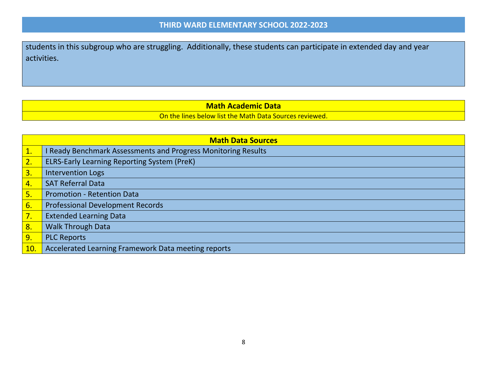students in this subgroup who are struggling. Additionally, these students can participate in extended day and year activities.

### **Math Academic Data**

On the lines below list the Math Data Sources reviewed.

|     | <b>Math Data Sources</b>                                             |  |  |
|-----|----------------------------------------------------------------------|--|--|
|     | <b>I Ready Benchmark Assessments and Progress Monitoring Results</b> |  |  |
| 2.  | <b>ELRS-Early Learning Reporting System (PreK)</b>                   |  |  |
| 3.  | <b>Intervention Logs</b>                                             |  |  |
| 4.  | <b>SAT Referral Data</b>                                             |  |  |
| 5.  | <b>Promotion - Retention Data</b>                                    |  |  |
| 6.  | <b>Professional Development Records</b>                              |  |  |
| 7.  | <b>Extended Learning Data</b>                                        |  |  |
| 8.  | <b>Walk Through Data</b>                                             |  |  |
| 9.  | <b>PLC Reports</b>                                                   |  |  |
| 10. | Accelerated Learning Framework Data meeting reports                  |  |  |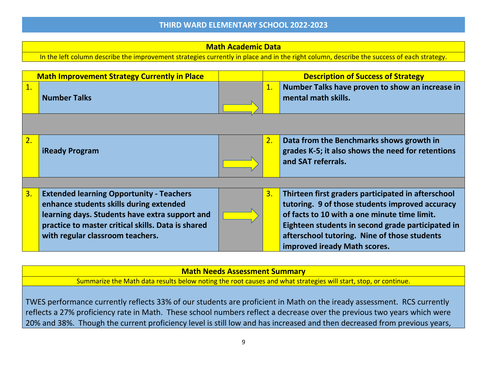### **Math Academic Data**

In the left column describe the improvement strategies currently in place and in the right column, describe the success of each strategy.

|                  | <b>Math Improvement Strategy Currently in Place</b>                                                                                                                                                                                    |    | <b>Description of Success of Strategy</b>                                                                                                                                                                                                                                                  |
|------------------|----------------------------------------------------------------------------------------------------------------------------------------------------------------------------------------------------------------------------------------|----|--------------------------------------------------------------------------------------------------------------------------------------------------------------------------------------------------------------------------------------------------------------------------------------------|
| $\overline{1}$ . | <b>Number Talks</b>                                                                                                                                                                                                                    | 1. | Number Talks have proven to show an increase in<br>mental math skills.                                                                                                                                                                                                                     |
|                  |                                                                                                                                                                                                                                        |    |                                                                                                                                                                                                                                                                                            |
| 2.               | <b>iReady Program</b>                                                                                                                                                                                                                  | 2. | Data from the Benchmarks shows growth in<br>grades K-5; it also shows the need for retentions<br>and SAT referrals.                                                                                                                                                                        |
|                  |                                                                                                                                                                                                                                        |    |                                                                                                                                                                                                                                                                                            |
| $\overline{3}$ . | <b>Extended learning Opportunity - Teachers</b><br>enhance students skills during extended<br>learning days. Students have extra support and<br>practice to master critical skills. Data is shared<br>with regular classroom teachers. | 3. | Thirteen first graders participated in afterschool<br>tutoring. 9 of those students improved accuracy<br>of facts to 10 with a one minute time limit.<br>Eighteen students in second grade participated in<br>afterschool tutoring. Nine of those students<br>improved iready Math scores. |

#### **Math Needs Assessment Summary**

Summarize the Math data results below noting the root causes and what strategies will start, stop, or continue.

TWES performance currently reflects 33% of our students are proficient in Math on the iready assessment. RCS currently reflects a 27% proficiency rate in Math. These school numbers reflect a decrease over the previous two years which were 20% and 38%. Though the current proficiency level is still low and has increased and then decreased from previous years,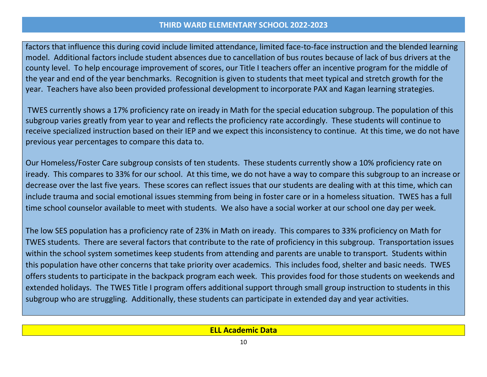factors that influence this during covid include limited attendance, limited face-to-face instruction and the blended learning model. Additional factors include student absences due to cancellation of bus routes because of lack of bus drivers at the county level. To help encourage improvement of scores, our Title I teachers offer an incentive program for the middle of the year and end of the year benchmarks. Recognition is given to students that meet typical and stretch growth for the year. Teachers have also been provided professional development to incorporate PAX and Kagan learning strategies.

TWES currently shows a 17% proficiency rate on iready in Math for the special education subgroup. The population of this subgroup varies greatly from year to year and reflects the proficiency rate accordingly. These students will continue to receive specialized instruction based on their IEP and we expect this inconsistency to continue. At this time, we do not have previous year percentages to compare this data to.

Our Homeless/Foster Care subgroup consists of ten students. These students currently show a 10% proficiency rate on iready. This compares to 33% for our school. At this time, we do not have a way to compare this subgroup to an increase or decrease over the last five years. These scores can reflect issues that our students are dealing with at this time, which can include trauma and social emotional issues stemming from being in foster care or in a homeless situation. TWES has a full time school counselor available to meet with students. We also have a social worker at our school one day per week.

The low SES population has a proficiency rate of 23% in Math on iready. This compares to 33% proficiency on Math for TWES students. There are several factors that contribute to the rate of proficiency in this subgroup. Transportation issues within the school system sometimes keep students from attending and parents are unable to transport. Students within this population have other concerns that take priority over academics. This includes food, shelter and basic needs. TWES offers students to participate in the backpack program each week. This provides food for those students on weekends and extended holidays. The TWES Title I program offers additional support through small group instruction to students in this subgroup who are struggling. Additionally, these students can participate in extended day and year activities.

**ELL Academic Data**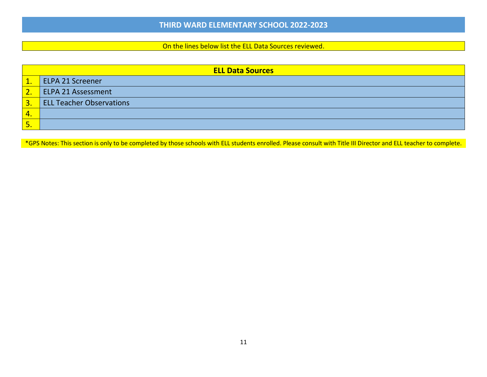#### On the lines below list the ELL Data Sources reviewed.

|                           | <b>ELL Data Sources</b>         |  |  |
|---------------------------|---------------------------------|--|--|
| $\mathbf{1}$ .            | <b>ELPA 21 Screener</b>         |  |  |
| $\overline{\mathbf{2}}$ . | ELPA 21 Assessment              |  |  |
| $\overline{3}$            | <b>ELL Teacher Observations</b> |  |  |
| $\overline{4}$            |                                 |  |  |
| 5.                        |                                 |  |  |

\*GPS Notes: This section is only to be completed by those schools with ELL students enrolled. Please consult with Title III Director and ELL teacher to complete.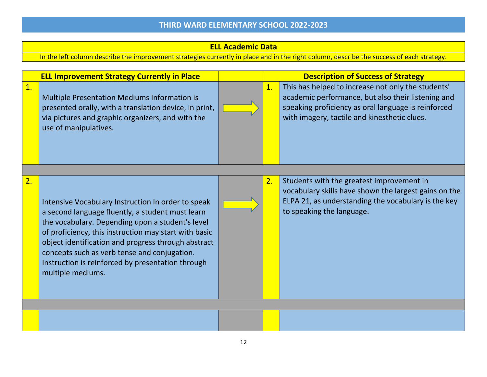### **ELL Academic Data**

In the left column describe the improvement strategies currently in place and in the right column, describe the success of each strategy.

| <b>ELL Improvement Strategy Currently in Place</b> |                                                                                                                                                                                                                                                                                                                                                                                                      | <b>Description of Success of Strategy</b> |                                                                                                                                                                                                                 |
|----------------------------------------------------|------------------------------------------------------------------------------------------------------------------------------------------------------------------------------------------------------------------------------------------------------------------------------------------------------------------------------------------------------------------------------------------------------|-------------------------------------------|-----------------------------------------------------------------------------------------------------------------------------------------------------------------------------------------------------------------|
| 1.                                                 | Multiple Presentation Mediums Information is<br>presented orally, with a translation device, in print,<br>via pictures and graphic organizers, and with the<br>use of manipulatives.                                                                                                                                                                                                                 | 1.                                        | This has helped to increase not only the students'<br>academic performance, but also their listening and<br>speaking proficiency as oral language is reinforced<br>with imagery, tactile and kinesthetic clues. |
|                                                    |                                                                                                                                                                                                                                                                                                                                                                                                      |                                           |                                                                                                                                                                                                                 |
| 2.                                                 | Intensive Vocabulary Instruction In order to speak<br>a second language fluently, a student must learn<br>the vocabulary. Depending upon a student's level<br>of proficiency, this instruction may start with basic<br>object identification and progress through abstract<br>concepts such as verb tense and conjugation.<br>Instruction is reinforced by presentation through<br>multiple mediums. | 2.                                        | Students with the greatest improvement in<br>vocabulary skills have shown the largest gains on the<br>ELPA 21, as understanding the vocabulary is the key<br>to speaking the language.                          |
|                                                    |                                                                                                                                                                                                                                                                                                                                                                                                      |                                           |                                                                                                                                                                                                                 |
|                                                    |                                                                                                                                                                                                                                                                                                                                                                                                      |                                           |                                                                                                                                                                                                                 |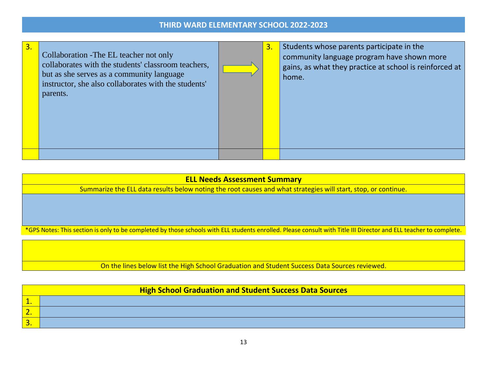| 3. | Collaboration - The EL teacher not only<br>collaborates with the students' classroom teachers,<br>but as she serves as a community language<br>instructor, she also collaborates with the students'<br>parents. | 3. | Students whose parents participate in the<br>community language program have shown more<br>gains, as what they practice at school is reinforced at<br>home. |
|----|-----------------------------------------------------------------------------------------------------------------------------------------------------------------------------------------------------------------|----|-------------------------------------------------------------------------------------------------------------------------------------------------------------|
|    |                                                                                                                                                                                                                 |    |                                                                                                                                                             |

### **ELL Needs Assessment Summary**

Summarize the ELL data results below noting the root causes and what strategies will start, stop, or continue.

\*GPS Notes: This section is only to be completed by those schools with ELL students enrolled. Please consult with Title III Director and ELL teacher to complete.

On the lines below list the High School Graduation and Student Success Data Sources reviewed.

|    | <b>High School Graduation and Student Success Data Sources</b> |  |  |  |
|----|----------------------------------------------------------------|--|--|--|
| -- |                                                                |  |  |  |
|    |                                                                |  |  |  |
| 3. |                                                                |  |  |  |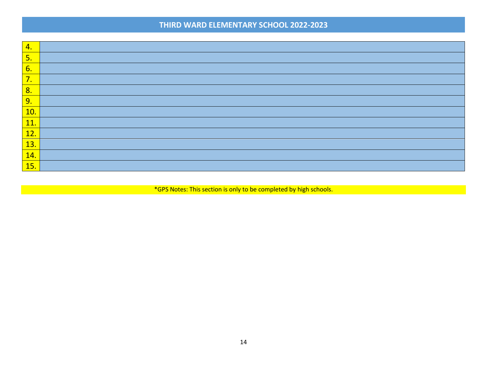| 4.                |  |
|-------------------|--|
| 5.                |  |
| 6.                |  |
| 7.                |  |
| 8.                |  |
| 9.                |  |
| <b>10.</b>        |  |
| 11.               |  |
| 12.               |  |
| 13.               |  |
| $\overline{14}$ . |  |
| <b>15.</b>        |  |

\*GPS Notes: This section is only to be completed by high schools.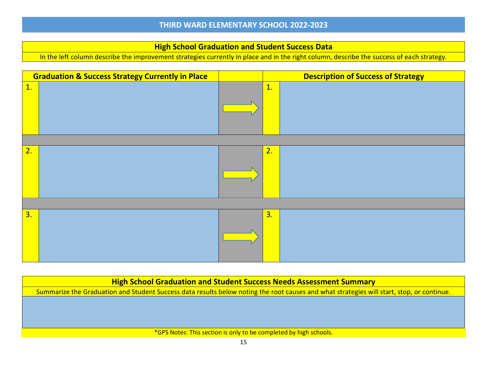#### **High School Graduation and Student Success Data**

In the left column describe the improvement strategies currently in place and in the right column, describe the success of each strategy.

|    | <b>Graduation &amp; Success Strategy Currently in Place</b> |    | <b>Description of Success of Strategy</b> |
|----|-------------------------------------------------------------|----|-------------------------------------------|
| 1. |                                                             | 1. |                                           |
|    |                                                             |    |                                           |
| 2. |                                                             | 2. |                                           |
|    |                                                             |    |                                           |
| 3. |                                                             | 3. |                                           |

**High School Graduation and Student Success Needs Assessment Summary** Summarize the Graduation and Student Success data results below noting the root causes and what strategies will start, stop, or continue. \*GPS Notes: This section is only to be completed by high schools.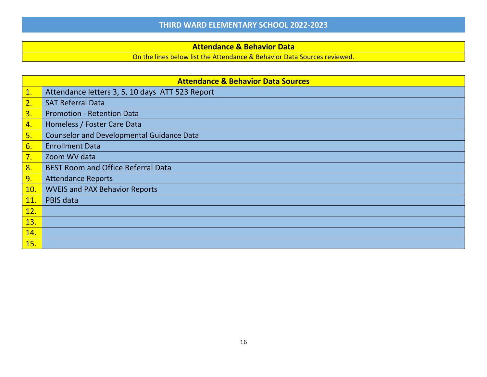### **Attendance & Behavior Data**

On the lines below list the Attendance & Behavior Data Sources reviewed.

|            | <b>Attendance &amp; Behavior Data Sources</b>    |  |  |  |  |
|------------|--------------------------------------------------|--|--|--|--|
| 1.         | Attendance letters 3, 5, 10 days ATT 523 Report  |  |  |  |  |
| 2.         | <b>SAT Referral Data</b>                         |  |  |  |  |
| 3.         | <b>Promotion - Retention Data</b>                |  |  |  |  |
| 4.         | Homeless / Foster Care Data                      |  |  |  |  |
| 5.         | <b>Counselor and Developmental Guidance Data</b> |  |  |  |  |
| 6.         | <b>Enrollment Data</b>                           |  |  |  |  |
| 7.         | Zoom WV data                                     |  |  |  |  |
| 8.         | <b>BEST Room and Office Referral Data</b>        |  |  |  |  |
| 9.         | <b>Attendance Reports</b>                        |  |  |  |  |
| 10.        | <b>WVEIS and PAX Behavior Reports</b>            |  |  |  |  |
| <b>11.</b> | PBIS data                                        |  |  |  |  |
| 12.        |                                                  |  |  |  |  |
| 13.        |                                                  |  |  |  |  |
| 14.        |                                                  |  |  |  |  |
| 15.        |                                                  |  |  |  |  |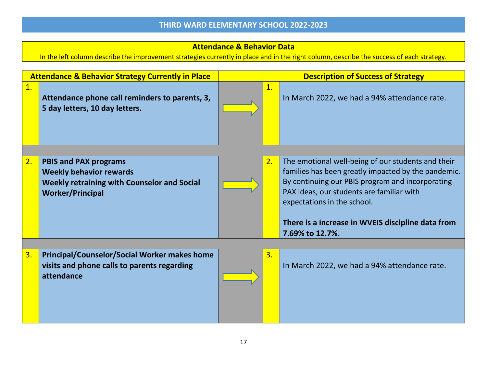### **Attendance & Behavior Data**

In the left column describe the improvement strategies currently in place and in the right column, describe the success of each strategy.

|    | <b>Attendance &amp; Behavior Strategy Currently in Place</b>                     |                  | <b>Description of Success of Strategy</b>                                                                 |
|----|----------------------------------------------------------------------------------|------------------|-----------------------------------------------------------------------------------------------------------|
| 1. | Attendance phone call reminders to parents, 3,<br>5 day letters, 10 day letters. | 1.               | In March 2022, we had a 94% attendance rate.                                                              |
|    |                                                                                  |                  |                                                                                                           |
| 2. | <b>PBIS and PAX programs</b><br><b>Weekly behavior rewards</b>                   | 2.               | The emotional well-being of our students and their<br>families has been greatly impacted by the pandemic. |
|    | <b>Weekly retraining with Counselor and Social</b>                               |                  | By continuing our PBIS program and incorporating                                                          |
|    | <b>Worker/Principal</b>                                                          |                  | PAX ideas, our students are familiar with<br>expectations in the school.                                  |
|    |                                                                                  |                  |                                                                                                           |
|    |                                                                                  |                  | There is a increase in WVEIS discipline data from<br>7.69% to 12.7%.                                      |
|    |                                                                                  |                  |                                                                                                           |
| 3. | <b>Principal/Counselor/Social Worker makes home</b>                              | $\overline{3}$ . |                                                                                                           |
|    | visits and phone calls to parents regarding<br>attendance                        |                  | In March 2022, we had a 94% attendance rate.                                                              |
|    |                                                                                  |                  |                                                                                                           |
|    |                                                                                  |                  |                                                                                                           |
|    |                                                                                  |                  |                                                                                                           |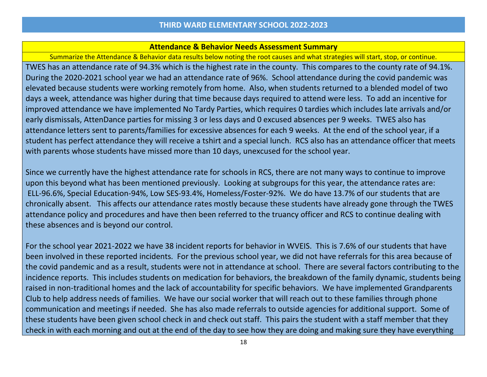#### **Attendance & Behavior Needs Assessment Summary**

Summarize the Attendance & Behavior data results below noting the root causes and what strategies will start, stop, or continue. TWES has an attendance rate of 94.3% which is the highest rate in the county. This compares to the county rate of 94.1%. During the 2020-2021 school year we had an attendance rate of 96%. School attendance during the covid pandemic was elevated because students were working remotely from home. Also, when students returned to a blended model of two days a week, attendance was higher during that time because days required to attend were less. To add an incentive for improved attendance we have implemented No Tardy Parties, which requires 0 tardies which includes late arrivals and/or early dismissals, AttenDance parties for missing 3 or less days and 0 excused absences per 9 weeks. TWES also has attendance letters sent to parents/families for excessive absences for each 9 weeks. At the end of the school year, if a student has perfect attendance they will receive a tshirt and a special lunch. RCS also has an attendance officer that meets with parents whose students have missed more than 10 days, unexcused for the school year.

Since we currently have the highest attendance rate for schools in RCS, there are not many ways to continue to improve upon this beyond what has been mentioned previously. Looking at subgroups for this year, the attendance rates are: ELL-96.6%, Special Education-94%, Low SES-93.4%, Homeless/Foster-92%. We do have 13.7% of our students that are chronically absent. This affects our attendance rates mostly because these students have already gone through the TWES attendance policy and procedures and have then been referred to the truancy officer and RCS to continue dealing with these absences and is beyond our control.

For the school year 2021-2022 we have 38 incident reports for behavior in WVEIS. This is 7.6% of our students that have been involved in these reported incidents. For the previous school year, we did not have referrals for this area because of the covid pandemic and as a result, students were not in attendance at school. There are several factors contributing to the incidence reports. This includes students on medication for behaviors, the breakdown of the family dynamic, students being raised in non-traditional homes and the lack of accountability for specific behaviors. We have implemented Grandparents Club to help address needs of families. We have our social worker that will reach out to these families through phone communication and meetings if needed. She has also made referrals to outside agencies for additional support. Some of these students have been given school check in and check out staff. This pairs the student with a staff member that they check in with each morning and out at the end of the day to see how they are doing and making sure they have everything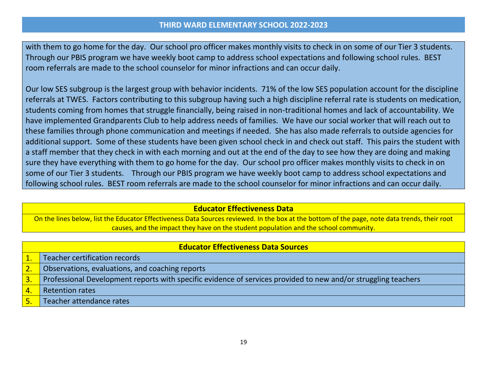with them to go home for the day. Our school pro officer makes monthly visits to check in on some of our Tier 3 students. Through our PBIS program we have weekly boot camp to address school expectations and following school rules. BEST room referrals are made to the school counselor for minor infractions and can occur daily.

Our low SES subgroup is the largest group with behavior incidents. 71% of the low SES population account for the discipline referrals at TWES. Factors contributing to this subgroup having such a high discipline referral rate is students on medication, students coming from homes that struggle financially, being raised in non-traditional homes and lack of accountability. We have implemented Grandparents Club to help address needs of families. We have our social worker that will reach out to these families through phone communication and meetings if needed. She has also made referrals to outside agencies for additional support. Some of these students have been given school check in and check out staff. This pairs the student with a staff member that they check in with each morning and out at the end of the day to see how they are doing and making sure they have everything with them to go home for the day. Our school pro officer makes monthly visits to check in on some of our Tier 3 students. Through our PBIS program we have weekly boot camp to address school expectations and following school rules. BEST room referrals are made to the school counselor for minor infractions and can occur daily.

#### **Educator Effectiveness Data**

On the lines below, list the Educator Effectiveness Data Sources reviewed. In the box at the bottom of the page, note data trends, their root causes, and the impact they have on the student population and the school community.

| <b>Educator Effectiveness Data Sources</b> |                                                                                                                |  |  |  |
|--------------------------------------------|----------------------------------------------------------------------------------------------------------------|--|--|--|
|                                            | Teacher certification records                                                                                  |  |  |  |
| 2.                                         | Observations, evaluations, and coaching reports                                                                |  |  |  |
| 3.                                         | Professional Development reports with specific evidence of services provided to new and/or struggling teachers |  |  |  |
| 4.                                         | <b>Retention rates</b>                                                                                         |  |  |  |
|                                            | Teacher attendance rates                                                                                       |  |  |  |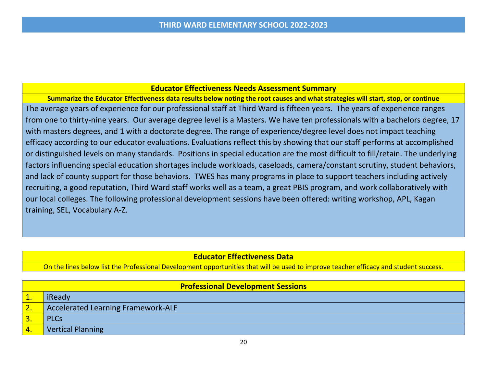#### **Educator Effectiveness Needs Assessment Summary**

**Summarize the Educator Effectiveness data results below noting the root causes and what strategies will start, stop, or continue** The average years of experience for our professional staff at Third Ward is fifteen years. The years of experience ranges from one to thirty-nine years. Our average degree level is a Masters. We have ten professionals with a bachelors degree, 17 with masters degrees, and 1 with a doctorate degree. The range of experience/degree level does not impact teaching efficacy according to our educator evaluations. Evaluations reflect this by showing that our staff performs at accomplished or distinguished levels on many standards. Positions in special education are the most difficult to fill/retain. The underlying factors influencing special education shortages include workloads, caseloads, camera/constant scrutiny, student behaviors, and lack of county support for those behaviors. TWES has many programs in place to support teachers including actively recruiting, a good reputation, Third Ward staff works well as a team, a great PBIS program, and work collaboratively with our local colleges. The following professional development sessions have been offered: writing workshop, APL, Kagan training, SEL, Vocabulary A-Z.

### **Educator Effectiveness Data**

On the lines below list the Professional Development opportunities that will be used to improve teacher efficacy and student success.

| <b>Professional Development Sessions</b> |                                           |  |  |  |
|------------------------------------------|-------------------------------------------|--|--|--|
| ı.                                       | iReady                                    |  |  |  |
| z.                                       | <b>Accelerated Learning Framework-ALF</b> |  |  |  |
| з.                                       | <b>PLCs</b>                               |  |  |  |
| 4.                                       | <b>Vertical Planning</b>                  |  |  |  |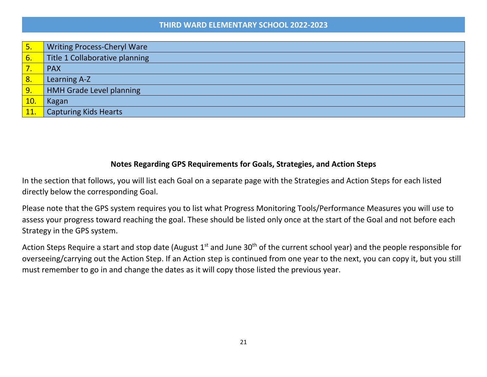| 5 <sub>1</sub> | <b>Writing Process-Cheryl Ware</b> |
|----------------|------------------------------------|
| 6.             | Title 1 Collaborative planning     |
| 7              | <b>PAX</b>                         |
| 8 <sub>o</sub> | Learning A-Z                       |
| 9.             | <b>HMH Grade Level planning</b>    |
| 10.            | Kagan                              |
| <b>11.</b>     | <b>Capturing Kids Hearts</b>       |

### **Notes Regarding GPS Requirements for Goals, Strategies, and Action Steps**

In the section that follows, you will list each Goal on a separate page with the Strategies and Action Steps for each listed directly below the corresponding Goal.

Please note that the GPS system requires you to list what Progress Monitoring Tools/Performance Measures you will use to assess your progress toward reaching the goal. These should be listed only once at the start of the Goal and not before each Strategy in the GPS system.

Action Steps Require a start and stop date (August  $1^{st}$  and June 30<sup>th</sup> of the current school year) and the people responsible for overseeing/carrying out the Action Step. If an Action step is continued from one year to the next, you can copy it, but you still must remember to go in and change the dates as it will copy those listed the previous year.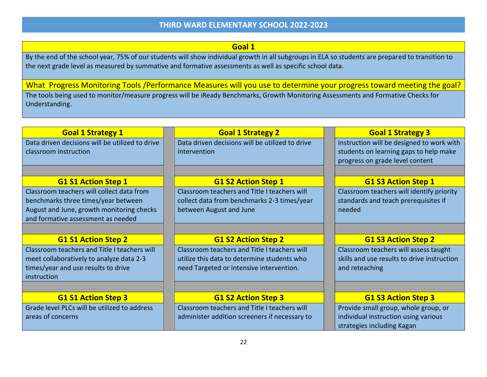### **Goal 1**

By the end of the school year, 75% of our students will show individual growth in all subgroups in ELA so students are prepared to transition to the next grade level as measured by summative and formative assessments as well as specific school data.

What Progress Monitoring Tools /Performance Measures will you use to determine your progress toward meeting the goal? The tools being used to monitor/measure progress will be iReady Benchmarks, Growth Monitoring Assessments and Formative Checks for Understanding.

| <b>Goal 1 Strategy 1</b>                        | <b>Goal 1 Strategy 2</b>                        | <b>Goal 1 Strategy 3</b>                    |
|-------------------------------------------------|-------------------------------------------------|---------------------------------------------|
| Data driven decisions will be utilized to drive | Data driven decisions will be utilized to drive | Instruction will be designed to work with   |
| classroom instruction                           | intervention                                    | students on learning gaps to help make      |
|                                                 |                                                 | progress on grade level content             |
|                                                 |                                                 |                                             |
| <b>G1 S1 Action Step 1</b>                      | <b>G1 S2 Action Step 1</b>                      | <b>G1 S3 Action Step 1</b>                  |
| Classroom teachers will collect data from       | Classroom teachers and Title I teachers will    | Classroom teachers will identify priority   |
| benchmarks three times/year between             | collect data from benchmarks 2-3 times/year     | standards and teach prerequisites if        |
| August and June, growth monitoring checks       | between August and June                         | needed                                      |
| and formative assessment as needed              |                                                 |                                             |
|                                                 |                                                 |                                             |
| <b>G1 S1 Action Step 2</b>                      | <b>G1 S2 Action Step 2</b>                      | <b>G1 S3 Action Step 2</b>                  |
| Classroom teachers and Title I teachers will    | Classroom teachers and Title I teachers will    | Classroom teachers will assess taught       |
| meet collaboratively to analyze data 2-3        | utilize this data to determine students who     | skills and use results to drive instruction |
| times/year and use results to drive             | need Targeted or Intensive intervention.        | and reteaching                              |
| instruction                                     |                                                 |                                             |
|                                                 |                                                 |                                             |
| <b>G1 S1 Action Step 3</b>                      | <b>G1 S2 Action Step 3</b>                      | <b>G1 S3 Action Step 3</b>                  |
| Grade level PLCs will be utilized to address    | Classroom teachers and Title I teachers will    | Provide small group, whole group, or        |
| areas of concerns                               | administer addition screeners if necessary to   | individual instruction using various        |
|                                                 |                                                 | strategies including Kagan                  |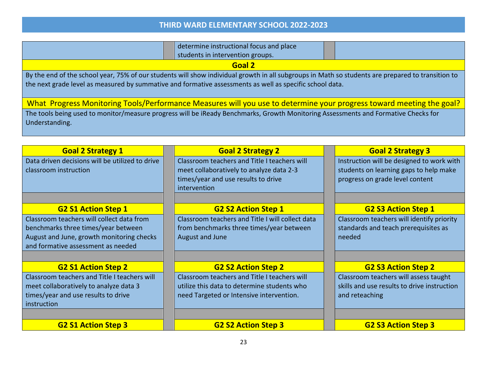|                                                 | determine instructional focus and place                                                                                                                                                                                                                       |                                           |  |  |  |  |  |
|-------------------------------------------------|---------------------------------------------------------------------------------------------------------------------------------------------------------------------------------------------------------------------------------------------------------------|-------------------------------------------|--|--|--|--|--|
|                                                 | students in intervention groups.                                                                                                                                                                                                                              |                                           |  |  |  |  |  |
|                                                 | Goal 2                                                                                                                                                                                                                                                        |                                           |  |  |  |  |  |
|                                                 | By the end of the school year, 75% of our students will show individual growth in all subgroups in Math so students are prepared to transition to<br>the next grade level as measured by summative and formative assessments as well as specific school data. |                                           |  |  |  |  |  |
|                                                 | What Progress Monitoring Tools/Performance Measures will you use to determine your progress toward meeting the goal?                                                                                                                                          |                                           |  |  |  |  |  |
| Understanding.                                  | The tools being used to monitor/measure progress will be iReady Benchmarks, Growth Monitoring Assessments and Formative Checks for                                                                                                                            |                                           |  |  |  |  |  |
|                                                 |                                                                                                                                                                                                                                                               |                                           |  |  |  |  |  |
| <b>Goal 2 Strategy 1</b>                        | <b>Goal 2 Strategy 2</b>                                                                                                                                                                                                                                      | <b>Goal 2 Strategy 3</b>                  |  |  |  |  |  |
| Data driven decisions will be utilized to drive | Classroom teachers and Title I teachers will                                                                                                                                                                                                                  | Instruction will be designed to work with |  |  |  |  |  |
| classroom instruction                           | meet collaboratively to analyze data 2-3                                                                                                                                                                                                                      | students on learning gaps to help make    |  |  |  |  |  |
|                                                 | times/year and use results to drive<br>intervention                                                                                                                                                                                                           | progress on grade level content           |  |  |  |  |  |
|                                                 |                                                                                                                                                                                                                                                               |                                           |  |  |  |  |  |
| <b>G2 S1 Action Step 1</b>                      | <b>G2 S2 Action Step 1</b>                                                                                                                                                                                                                                    | <b>G2 S3 Action Step 1</b>                |  |  |  |  |  |
| Classroom teachers will collect data from       | Classroom teachers and Title I will collect data                                                                                                                                                                                                              | Classroom teachers will identify priority |  |  |  |  |  |
| benchmarks three times/year between             | from benchmarks three times/year between                                                                                                                                                                                                                      | standards and teach prerequisites as      |  |  |  |  |  |
| August and June, growth monitoring checks       | August and June                                                                                                                                                                                                                                               | needed                                    |  |  |  |  |  |
| and formative assessment as needed              |                                                                                                                                                                                                                                                               |                                           |  |  |  |  |  |
|                                                 |                                                                                                                                                                                                                                                               |                                           |  |  |  |  |  |
| <b>G2 S1 Action Step 2</b>                      | <b>G2 S3 Action Step 2</b>                                                                                                                                                                                                                                    |                                           |  |  |  |  |  |
| Classroom teachers and Title I teachers will    | Classroom teachers and Title I teachers will                                                                                                                                                                                                                  | Classroom teachers will assess taught     |  |  |  |  |  |

Classroom teachers and Title I teachers will utilize this data to determine students who need Targeted or Intensive intervention. skills and use results to drive instruction and reteaching

**G2 S1 Action Step 3 G2 S2 Action Step 3 G2 S3 Action Step 3**

meet collaboratively to analyze data 3 times/year and use results to drive

instruction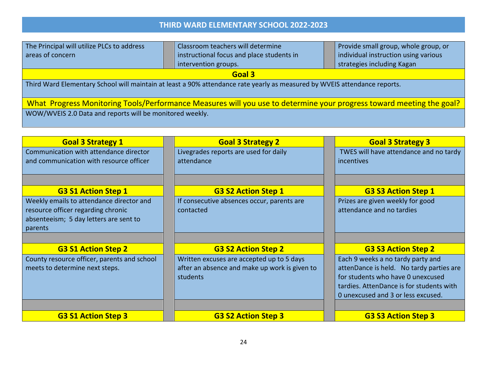| The Principal will utilize PLCs to address                                                                                | Classroom teachers will determine         | Provide small group, whole group, or |  |  |  |
|---------------------------------------------------------------------------------------------------------------------------|-------------------------------------------|--------------------------------------|--|--|--|
| areas of concern                                                                                                          | instructional focus and place students in | individual instruction using various |  |  |  |
|                                                                                                                           | intervention groups.                      | strategies including Kagan           |  |  |  |
| Goal 3                                                                                                                    |                                           |                                      |  |  |  |
| Third Ward Elementary School will maintain at least a 90% attendance rate yearly as measured by WVEIS attendance reports. |                                           |                                      |  |  |  |
| What Progress Monitoring Tools/Performance Measures will you use to determine your progress toward meeting the goal?      |                                           |                                      |  |  |  |
| WOW/WVEIS 2.0 Data and reports will be monitored weekly.                                                                  |                                           |                                      |  |  |  |

| <b>Goal 3 Strategy 1</b>                                                     | <b>Goal 3 Strategy 2</b>                      | <b>Goal 3 Strategy 3</b>                 |
|------------------------------------------------------------------------------|-----------------------------------------------|------------------------------------------|
| Communication with attendance director                                       | Livegrades reports are used for daily         | TWES will have attendance and no tardy   |
| and communication with resource officer                                      | attendance                                    | incentives                               |
| <b>G3 S1 Action Step 1</b>                                                   | <b>G3 S2 Action Step 1</b>                    | <b>G3 S3 Action Step 1</b>               |
| Weekly emails to attendance director and                                     | If consecutive absences occur, parents are    | Prizes are given weekly for good         |
| resource officer regarding chronic<br>absenteeism; 5 day letters are sent to | contacted                                     | attendance and no tardies                |
| parents                                                                      |                                               |                                          |
|                                                                              |                                               |                                          |
| <b>G3 S1 Action Step 2</b>                                                   | <b>G3 S2 Action Step 2</b>                    | <b>G3 S3 Action Step 2</b>               |
| County resource officer, parents and school                                  | Written excuses are accepted up to 5 days     | Each 9 weeks a no tardy party and        |
| meets to determine next steps.                                               | after an absence and make up work is given to | attenDance is held. No tardy parties are |
|                                                                              | students                                      | for students who have 0 unexcused        |
|                                                                              |                                               | tardies. AttenDance is for students with |
|                                                                              |                                               | 0 unexcused and 3 or less excused.       |
|                                                                              |                                               |                                          |
| <b>G3 S1 Action Step 3</b>                                                   | <b>G3 S2 Action Step 3</b>                    | <b>G3 S3 Action Step 3</b>               |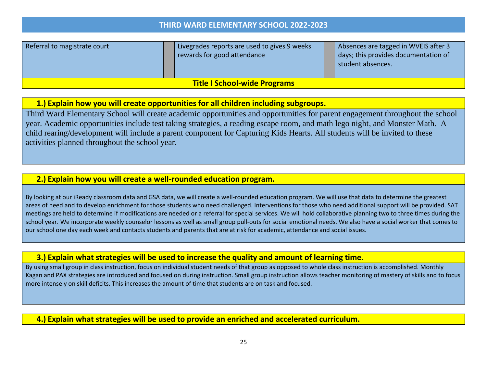| Referral to magistrate court        |  | Livegrades reports are used to gives 9 weeks<br>rewards for good attendance |  | Absences are tagged in WVEIS after 3<br>days; this provides documentation of<br>student absences. |  |
|-------------------------------------|--|-----------------------------------------------------------------------------|--|---------------------------------------------------------------------------------------------------|--|
| <b>Title I School-wide Programs</b> |  |                                                                             |  |                                                                                                   |  |

### **1.) Explain how you will create opportunities for all children including subgroups.**

Third Ward Elementary School will create academic opportunities and opportunities for parent engagement throughout the school year. Academic opportunities include test taking strategies, a reading escape room, and math lego night, and Monster Math. A child rearing/development will include a parent component for Capturing Kids Hearts. All students will be invited to these activities planned throughout the school year.

### **2.) Explain how you will create a well-rounded education program.**

By looking at our iReady classroom data and GSA data, we will create a well-rounded education program. We will use that data to determine the greatest areas of need and to develop enrichment for those students who need challenged. Interventions for those who need additional support will be provided. SAT meetings are held to determine if modifications are needed or a referral for special services. We will hold collaborative planning two to three times during the school year. We incorporate weekly counselor lessons as well as small group pull-outs for social emotional needs. We also have a social worker that comes to our school one day each week and contacts students and parents that are at risk for academic, attendance and social issues.

#### **3.) Explain what strategies will be used to increase the quality and amount of learning time.**

By using small group in class instruction, focus on individual student needs of that group as opposed to whole class instruction is accomplished. Monthly Kagan and PAX strategies are introduced and focused on during instruction. Small group instruction allows teacher monitoring of mastery of skills and to focus more intensely on skill deficits. This increases the amount of time that students are on task and focused.

**4.) Explain what strategies will be used to provide an enriched and accelerated curriculum.**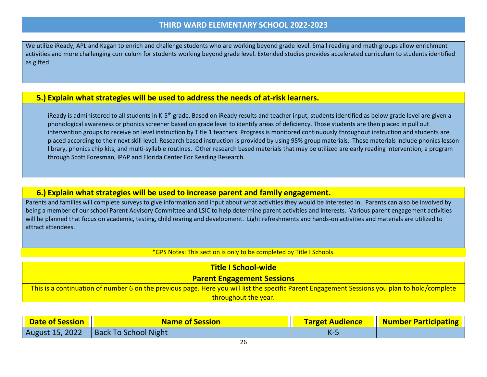We utilize iReady, APL and Kagan to enrich and challenge students who are working beyond grade level. Small reading and math groups allow enrichment activities and more challenging curriculum for students working beyond grade level. Extended studies provides accelerated curriculum to students identified as gifted.

#### **5.) Explain what strategies will be used to address the needs of at-risk learners.**

iReady is administered to all students in K-5<sup>th</sup> grade. Based on iReady results and teacher input, students identified as below grade level are given a phonological awareness or phonics screener based on grade level to identify areas of deficiency. Those students are then placed in pull out intervention groups to receive on level instruction by Title 1 teachers. Progress is monitored continuously throughout instruction and students are placed according to their next skill level. Research based instruction is provided by using 95% group materials. These materials include phonics lesson library, phonics chip kits, and multi-syllable routines. Other research based materials that may be utilized are early reading intervention, a program through Scott Foresman, IPAP and Florida Center For Reading Research.

#### **6.) Explain what strategies will be used to increase parent and family engagement.**

Parents and families will complete surveys to give information and input about what activities they would be interested in. Parents can also be involved by being a member of our school Parent Advisory Committee and LSIC to help determine parent activities and interests. Various parent engagement activities will be planned that focus on academic, testing, child rearing and development. Light refreshments and hands-on activities and materials are utilized to attract attendees.

#### \*GPS Notes: This section is only to be completed by Title I Schools.

| <b>Title I School-wide</b>                                                                                                                    |
|-----------------------------------------------------------------------------------------------------------------------------------------------|
| <b>Parent Engagement Sessions</b>                                                                                                             |
| This is a continuation of number 6 on the previous page. Here you will list the specific Parent Engagement Sessions you plan to hold/complete |
| throughout the year.                                                                                                                          |

| <b>Date of Session</b> | <b>Name of Session</b>                 | <b>Target Audience   Number Participating  </b> |
|------------------------|----------------------------------------|-------------------------------------------------|
|                        | August 15, 2022   Back To School Night |                                                 |